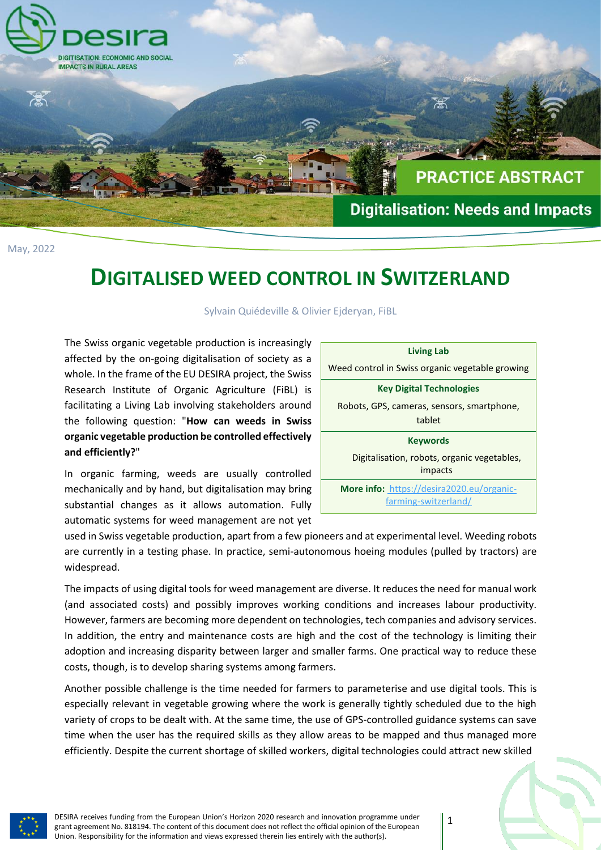

May, 2022

## **DIGITALISED WEED CONTROL IN SWITZERLAND**

Sylvain Quiédeville & Olivier Ejderyan, FiBL

The Swiss organic vegetable production is increasingly affected by the on-going digitalisation of society as a whole. In the frame of the EU DESIRA project, the Swiss Research Institute of Organic Agriculture (FiBL) is facilitating a Living Lab involving stakeholders around the following question: "**How can weeds in Swiss organic vegetable production be controlled effectively and efficiently?**"

In organic farming, weeds are usually controlled mechanically and by hand, but digitalisation may bring substantial changes as it allows automation. Fully automatic systems for weed management are not yet

| <b>Living Lab</b>                                                 |
|-------------------------------------------------------------------|
| Weed control in Swiss organic vegetable growing                   |
| <b>Key Digital Technologies</b>                                   |
| Robots, GPS, cameras, sensors, smartphone,<br>tablet              |
| <b>Keywords</b>                                                   |
| Digitalisation, robots, organic vegetables,<br>impacts            |
| More info: https://desira2020.eu/organic-<br>farming-switzerland/ |

used in Swiss vegetable production, apart from a few pioneers and at experimental level. Weeding robots are currently in a testing phase. In practice, semi-autonomous hoeing modules (pulled by tractors) are widespread.

The impacts of using digital tools for weed management are diverse. It reduces the need for manual work (and associated costs) and possibly improves working conditions and increases labour productivity. However, farmers are becoming more dependent on technologies, tech companies and advisory services. In addition, the entry and maintenance costs are high and the cost of the technology is limiting their adoption and increasing disparity between larger and smaller farms. One practical way to reduce these costs, though, is to develop sharing systems among farmers.

Another possible challenge is the time needed for farmers to parameterise and use digital tools. This is especially relevant in vegetable growing where the work is generally tightly scheduled due to the high variety of crops to be dealt with. At the same time, the use of GPS-controlled guidance systems can save time when the user has the required skills as they allow areas to be mapped and thus managed more efficiently. Despite the current shortage of skilled workers, digital technologies could attract new skilled